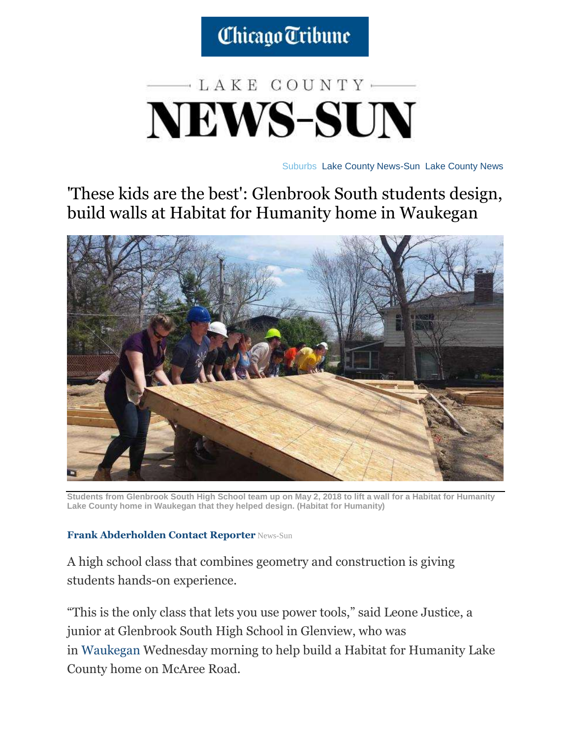Chicago Tribune

## $-$ LAKE COUNTY $-$ **NEWS-SUN**

[Suburbs](http://www.chicagotribune.com/suburbs/#nt=breadcrumb) [Lake County News-Sun](http://www.chicagotribune.com/suburbs/lake-county-news-sun/#nt=breadcrumb) [Lake County News](http://www.chicagotribune.com/suburbs/lake-county-news-sun/news/#nt=breadcrumb)

'These kids are the best': Glenbrook South students design, build walls at Habitat for Humanity home in Waukegan



**Students from Glenbrook South High School team up on May 2, 2018 to lift a wall for a Habitat for Humanity Lake County home in Waukegan that they helped design. (Habitat for Humanity)**

## **[Frank Abderholden](http://www.chicagotribune.com/ct-frank-abderholden-20180221-staff.html#nt=byline) [Contact Reporter](mailto:fabderholden@tribpub.com?subject=Regarding:%20%22%27These%20kids%20are%20the%20best%27:%20Glenbrook%20South%20students%20design,%20build%20walls%20at%20Habitat%20for%20Humanity%20home%20in%20Waukegan%22)** News-Sun

A high school class that combines geometry and construction is giving students hands-on experience.

"This is the only class that lets you use power tools," said Leone Justice, a junior at Glenbrook South High School in Glenview, who was in [Waukegan](http://www.chicagotribune.com/topic/chicago-suburbs/waukegan-CHIS0088-topic.html) Wednesday morning to help build a Habitat for Humanity Lake County home on McAree Road.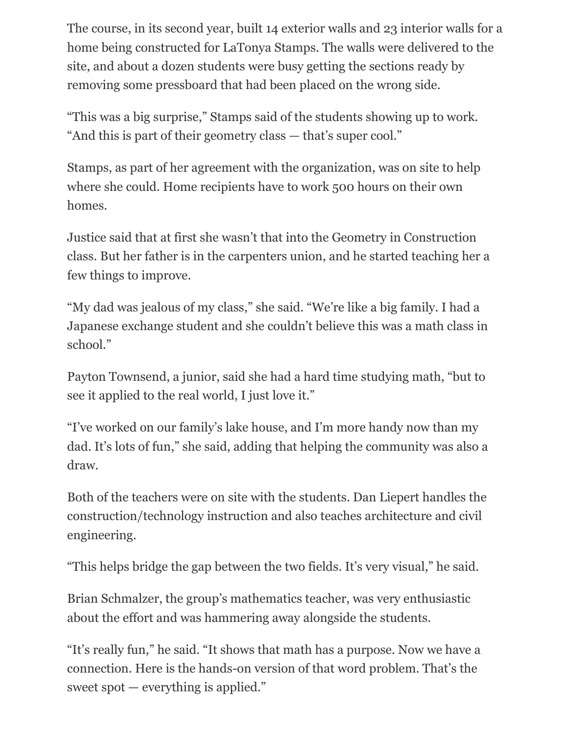The course, in its second year, built 14 exterior walls and 23 interior walls for a home being constructed for LaTonya Stamps. The walls were delivered to the site, and about a dozen students were busy getting the sections ready by removing some pressboard that had been placed on the wrong side.

"This was a big surprise," Stamps said of the students showing up to work. "And this is part of their geometry class — that's super cool."

Stamps, as part of her agreement with the organization, was on site to help where she could. Home recipients have to work 500 hours on their own homes.

Justice said that at first she wasn't that into the Geometry in Construction class. But her father is in the carpenters union, and he started teaching her a few things to improve.

"My dad was jealous of my class," she said. "We're like a big family. I had a Japanese exchange student and she couldn't believe this was a math class in school."

Payton Townsend, a junior, said she had a hard time studying math, "but to see it applied to the real world, I just love it."

"I've worked on our family's lake house, and I'm more handy now than my dad. It's lots of fun," she said, adding that helping the community was also a draw.

Both of the teachers were on site with the students. Dan Liepert handles the construction/technology instruction and also teaches architecture and civil engineering.

"This helps bridge the gap between the two fields. It's very visual," he said.

Brian Schmalzer, the group's mathematics teacher, was very enthusiastic about the effort and was hammering away alongside the students.

"It's really fun," he said. "It shows that math has a purpose. Now we have a connection. Here is the hands-on version of that word problem. That's the sweet spot — everything is applied."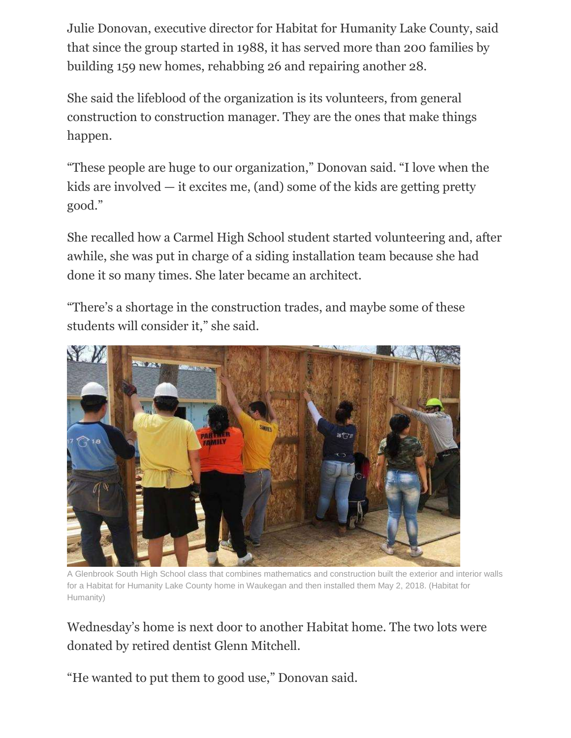Julie Donovan, executive director for Habitat for Humanity Lake County, said that since the group started in 1988, it has served more than 200 families by building 159 new homes, rehabbing 26 and repairing another 28.

She said the lifeblood of the organization is its volunteers, from general construction to construction manager. They are the ones that make things happen.

"These people are huge to our organization," Donovan said. "I love when the kids are involved — it excites me, (and) some of the kids are getting pretty good."

She recalled how a Carmel High School student started volunteering and, after awhile, she was put in charge of a siding installation team because she had done it so many times. She later became an architect.

"There's a shortage in the construction trades, and maybe some of these students will consider it," she said.



A Glenbrook South High School class that combines mathematics and construction built the exterior and interior walls for a Habitat for Humanity Lake County home in Waukegan and then installed them May 2, 2018. (Habitat for Humanity)

Wednesday's home is next door to another Habitat home. The two lots were donated by retired dentist Glenn Mitchell.

"He wanted to put them to good use," Donovan said.